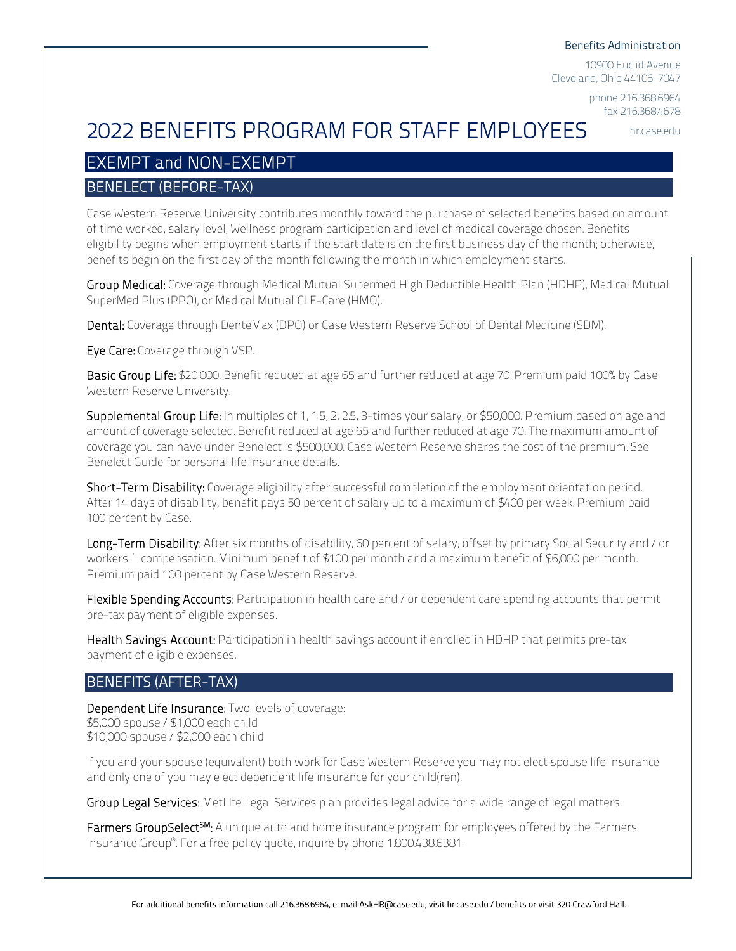#### Benefits Administration

10900 Euclid Avenue Cleveland, Ohio 44106-7047

> phone 216.368.6964 fax 216.368.4678

# 2022 BENEFITS PROGRAM FOR STAFF EMPLOYEES

hr.case.edu

# EXEMPT and NON-EXEMPT

# BENELECT (BEFORE-TAX)

Case Western Reserve University contributes monthly toward the purchase of selected benefits based on amount of time worked, salary level, Wellness program participation and level of medical coverage chosen. Benefits eligibility begins when employment starts if the start date is on the first business day of the month; otherwise, benefits begin on the first day of the month following the month in which employment starts.

Group Medical: Coverage through Medical Mutual Supermed High Deductible Health Plan (HDHP), Medical Mutual SuperMed Plus (PPO), or Medical Mutual CLE-Care (HMO).

Dental: Coverage through DenteMax (DPO) or Case Western Reserve School of Dental Medicine (SDM).

Eye Care: Coverage through VSP.

Basic Group Life: \$20,000. Benefit reduced at age 65 and further reduced at age 70. Premium paid 100% by Case Western Reserve University.

Supplemental Group Life: In multiples of 1, 1.5, 2, 2.5, 3-times your salary, or \$50,000. Premium based on age and amount of coverage selected. Benefit reduced at age 65 and further reduced at age 70. The maximum amount of coverage you can have under Benelect is \$500,000. Case Western Reserve shares the cost of the premium. See Benelect Guide for personal life insurance details.

Short-Term Disability: Coverage eligibility after successful completion of the employment orientation period. After 14 days of disability, benefit pays 50 percent of salary up to a maximum of \$400 per week. Premium paid 100 percent by Case.

Long-Term Disability: After six months of disability, 60 percent of salary, offset by primary Social Security and / or workers' compensation. Minimum benefit of \$100 per month and a maximum benefit of \$6,000 per month. Premium paid 100 percent by Case Western Reserve.

Flexible Spending Accounts: Participation in health care and / or dependent care spending accounts that permit pre-tax payment of eligible expenses.

Health Savings Account: Participation in health savings account if enrolled in HDHP that permits pre-tax payment of eligible expenses.

#### BENEFITS (AFTER-TAX)

Dependent Life Insurance: Two levels of coverage: \$5,000 spouse/\$1,000 each child \$10,000 spouse/\$2,000 each child

If you and your spouse (equivalent) both work for Case Western Reserve you may not elect spouse life insurance and only one of you may elect dependent life insurance for your child(ren).

Group Legal Services: MetLIfe Legal Services plan provides legal advice for a wide range of legal matters.

Farmers GroupSelect<sup>SM</sup>: A unique auto and home insurance program for employees offered by the Farmers Insurance Group® . For a free policy quote, inquire by phone 1.800.438.6381.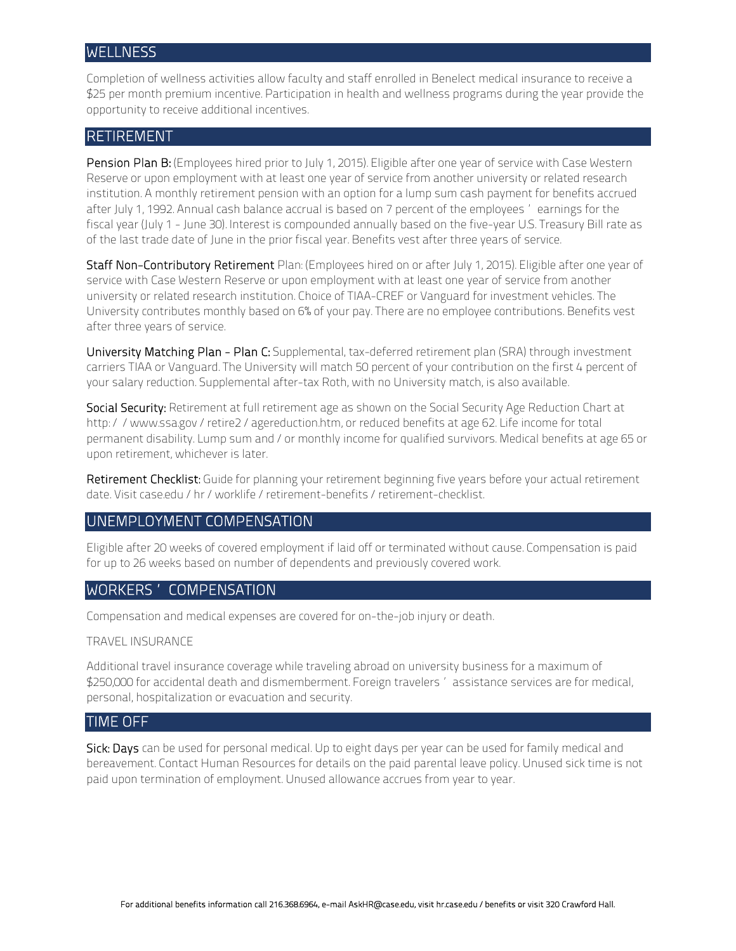#### **WELLNESS**

Completion of wellness activities allow faculty and staff enrolled in Benelect medical insurance to receive a \$25 per month premium incentive. Participation in health and wellness programs during the year provide the opportunity to receive additional incentives.

#### RETIREMENT

Pension Plan B: (Employees hired prior to July 1, 2015). Eligible after one year of service with Case Western Reserve or upon employment with at least one year of service from another university or related research institution. A monthly retirement pension with an option for a lump sum cash payment for benefits accrued after July 1, 1992. Annual cash balance accrual is based on 7 percent of the employees' earnings for the fiscal year (July 1 - June 30). Interest is compounded annually based on the five-year U.S. Treasury Bill rate as of the last trade date of June in the prior fiscal year. Benefits vest after three years of service.

Staff Non-Contributory Retirement Plan: (Employees hired on or after July 1, 2015). Eligible after one year of service with Case Western Reserve or upon employment with at least one year of service from another university or related research institution. Choice of TIAA-CREF or Vanguard for investment vehicles. The University contributes monthly based on 6% of your pay. There are no employee contributions. Benefits vest after three years of service.

University Matching Plan - Plan C: Supplemental, tax-deferred retirement plan (SRA) through investment carriers TIAA or Vanguard. The University will match 50 percent of your contribution on the first 4 percent of your salary reduction. Supplemental after-tax Roth, with no University match, is also available.

Social Security: Retirement at full retirement age as shown on the Social Security Age Reduction Chart at http://www.ssa.gov/retire2/agereduction.htm, or reduced benefits at age 62. Life income for total permanent disability. Lump sum and/or monthly income for qualified survivors. Medical benefits at age 65 or upon retirement, whichever is later.

Retirement Checklist: Guide for planning your retirement beginning five years before your actual retirement date. Visit case.edu/hr/worklife/retirement-benefits/retirement-checklist.

#### UNEMPLOYMENT COMPENSATION

Eligible after 20 weeks of covered employment if laid off or terminated without cause. Compensation is paid for up to 26 weeks based on number of dependents and previously covered work.

#### WORKERS' COMPENSATION

Compensation and medical expenses are covered for on-the-job injury or death.

#### TRAVEL INSURANCE

Additional travel insurance coverage while traveling abroad on university business for a maximum of \$250,000 for accidental death and dismemberment. Foreign travelers' assistance services are for medical, personal, hospitalization or evacuation and security.

#### TIME OFF

Sick: Days can be used for personal medical. Up to eight days per year can be used for family medical and bereavement. Contact Human Resources for details on the paid parental leave policy. Unused sick time is not paid upon termination of employment. Unused allowance accrues from year to year.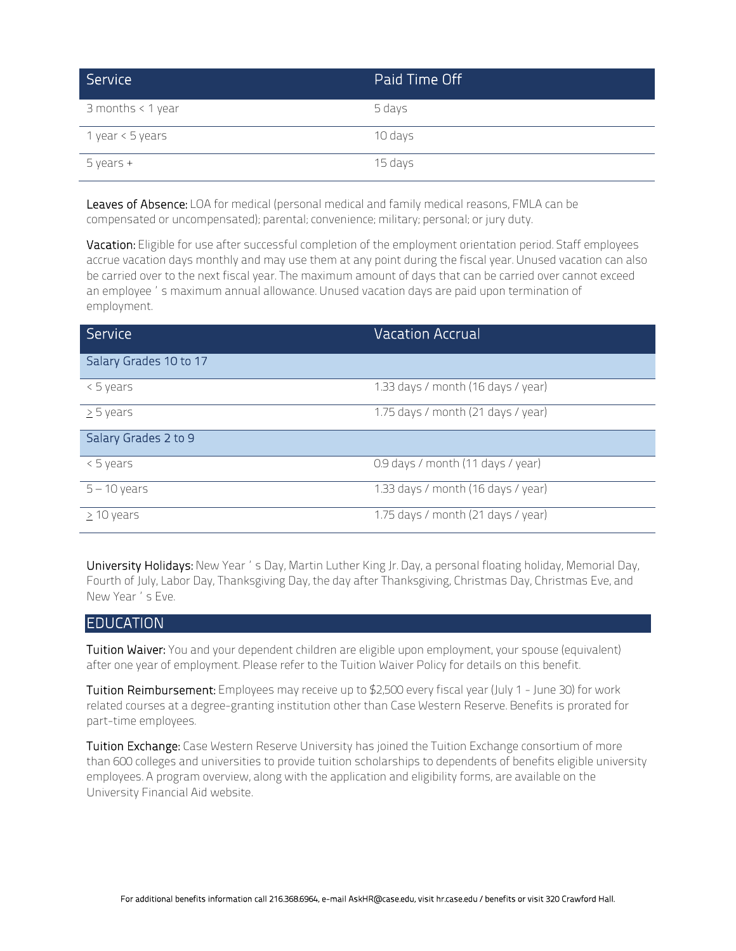| <b>Service</b>      | Paid Time Off |
|---------------------|---------------|
| $3$ months < 1 year | 5 days        |
| 1 year < 5 years    | 10 days       |
| $5$ years +         | 15 days       |

Leaves of Absence: LOA for medical (personal medical and family medical reasons, FMLA can be compensated or uncompensated); parental; convenience; military; personal; or jury duty.

Vacation: Eligible for use after successful completion of the employment orientation period. Staff employees accrue vacation days monthly and may use them at any point during the fiscal year. Unused vacation can also be carried over to the next fiscal year. The maximum amount of days that can be carried over cannot exceed an employee's maximum annual allowance. Unused vacation days are paid upon termination of employment.

| <b>Service</b>         | <b>Vacation Accrual</b>            |
|------------------------|------------------------------------|
| Salary Grades 10 to 17 |                                    |
| < 5 years              | 1.33 days / month (16 days / year) |
| $\geq$ 5 years         | 1.75 days / month (21 days / year) |
| Salary Grades 2 to 9   |                                    |
| < 5 years              | 0.9 days / month (11 days / year)  |
| $5 - 10$ years         | 1.33 days / month (16 days / year) |
| $\geq$ 10 years        | 1.75 days / month (21 days / year) |

University Holidays: New Year's Day, Martin Luther King Jr. Day, a personal floating holiday, Memorial Day, Fourth of July, Labor Day, Thanksgiving Day, the day after Thanksgiving, Christmas Day, Christmas Eve, and New Year's Eve.

### EDUCATION

Tuition Waiver: You and your dependent children are eligible upon employment, your spouse (equivalent) after one year of employment. Please refer to the Tuition Waiver Policy for details on this benefit.

Tuition Reimbursement: Employees may receive up to \$2,500 every fiscal year (July 1 - June 30) for work related courses at a degree-granting institution other than Case Western Reserve. Benefits is prorated for part-time employees.

Tuition Exchange: Case Western Reserve University has joined the Tuition Exchange consortium of more than 600 colleges and universities to provide tuition scholarships to dependents of benefits eligible university employees. A program overview, along with the application and eligibility forms, are available on the University Financial Aid website.